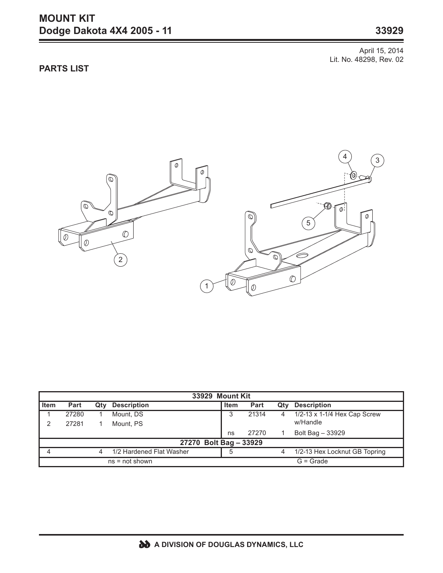## **MOUNT KIT Dodge Dakota 4X4 2005 - 11 33929**

April 15, 2014 Lit. No. 48298, Rev. 02

## **PARTS LIST**



| 33929 Mount Kit        |       |     |                          |             |       |     |                               |
|------------------------|-------|-----|--------------------------|-------------|-------|-----|-------------------------------|
| <b>Item</b>            | Part  | Qtv | <b>Description</b>       | <b>Item</b> | Part  | Qty | <b>Description</b>            |
|                        | 27280 |     | Mount. DS                | 3           | 21314 | 4   | 1/2-13 x 1-1/4 Hex Cap Screw  |
|                        | 27281 |     | Mount. PS                |             |       |     | w/Handle                      |
|                        |       |     |                          | ns          | 27270 |     | Bolt Bag - 33929              |
| 27270 Bolt Bag - 33929 |       |     |                          |             |       |     |                               |
|                        |       | 4   | 1/2 Hardened Flat Washer | 5           |       | 4   | 1/2-13 Hex Locknut GB Topring |
| $ns = not shown$       |       |     |                          |             |       |     | $G =$ Grade                   |